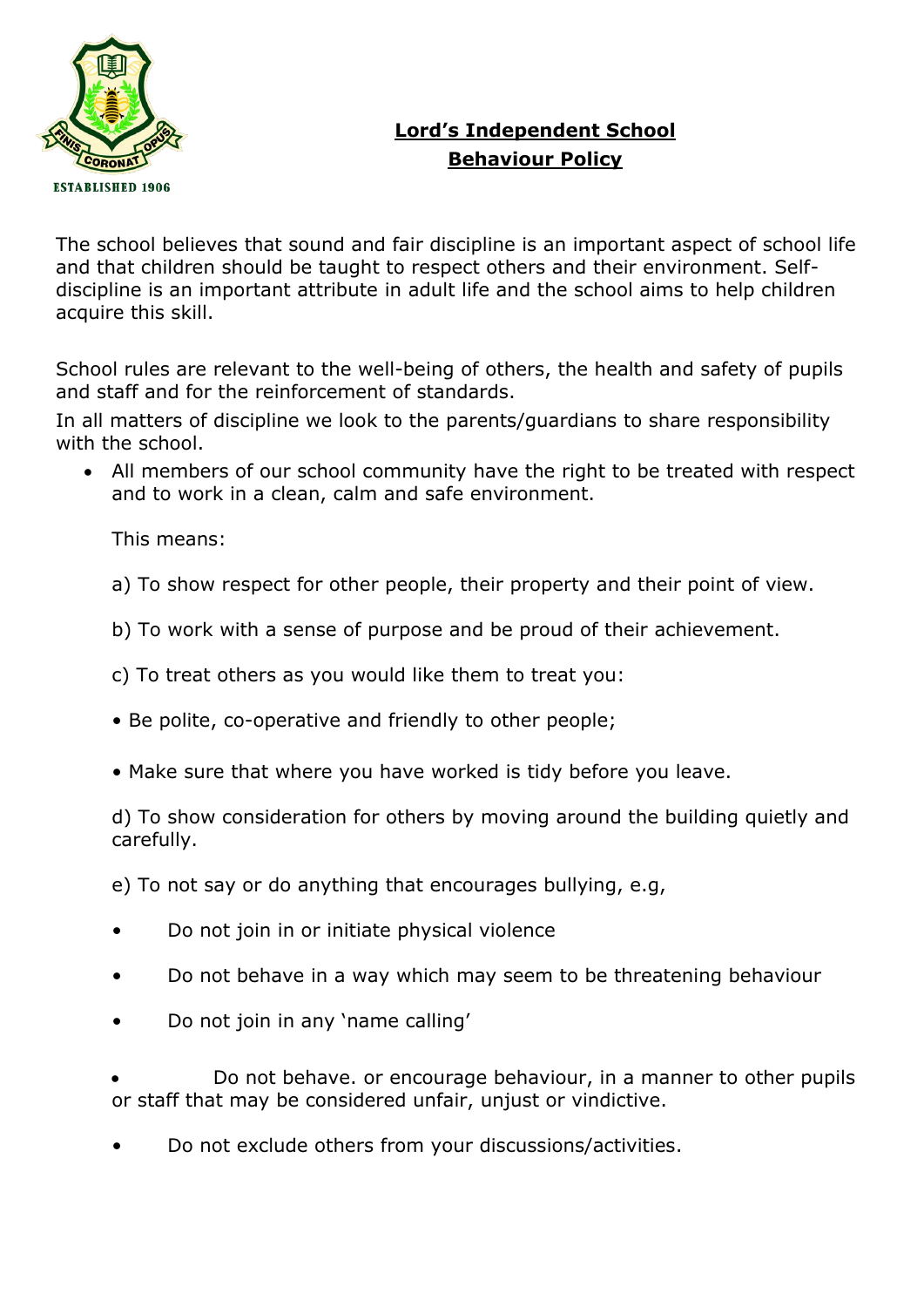

# **Lord's Independent School Behaviour Policy**

The school believes that sound and fair discipline is an important aspect of school life and that children should be taught to respect others and their environment. Selfdiscipline is an important attribute in adult life and the school aims to help children acquire this skill.

School rules are relevant to the well-being of others, the health and safety of pupils and staff and for the reinforcement of standards.

In all matters of discipline we look to the parents/guardians to share responsibility with the school.

• All members of our school community have the right to be treated with respect and to work in a clean, calm and safe environment.

This means:

a) To show respect for other people, their property and their point of view.

- b) To work with a sense of purpose and be proud of their achievement.
- c) To treat others as you would like them to treat you:
- Be polite, co-operative and friendly to other people;
- Make sure that where you have worked is tidy before you leave.

d) To show consideration for others by moving around the building quietly and carefully.

e) To not say or do anything that encourages bullying, e.g,

- Do not join in or initiate physical violence
- Do not behave in a way which may seem to be threatening behaviour
- Do not join in any 'name calling'

• Do not behave. or encourage behaviour, in a manner to other pupils or staff that may be considered unfair, unjust or vindictive.

• Do not exclude others from your discussions/activities.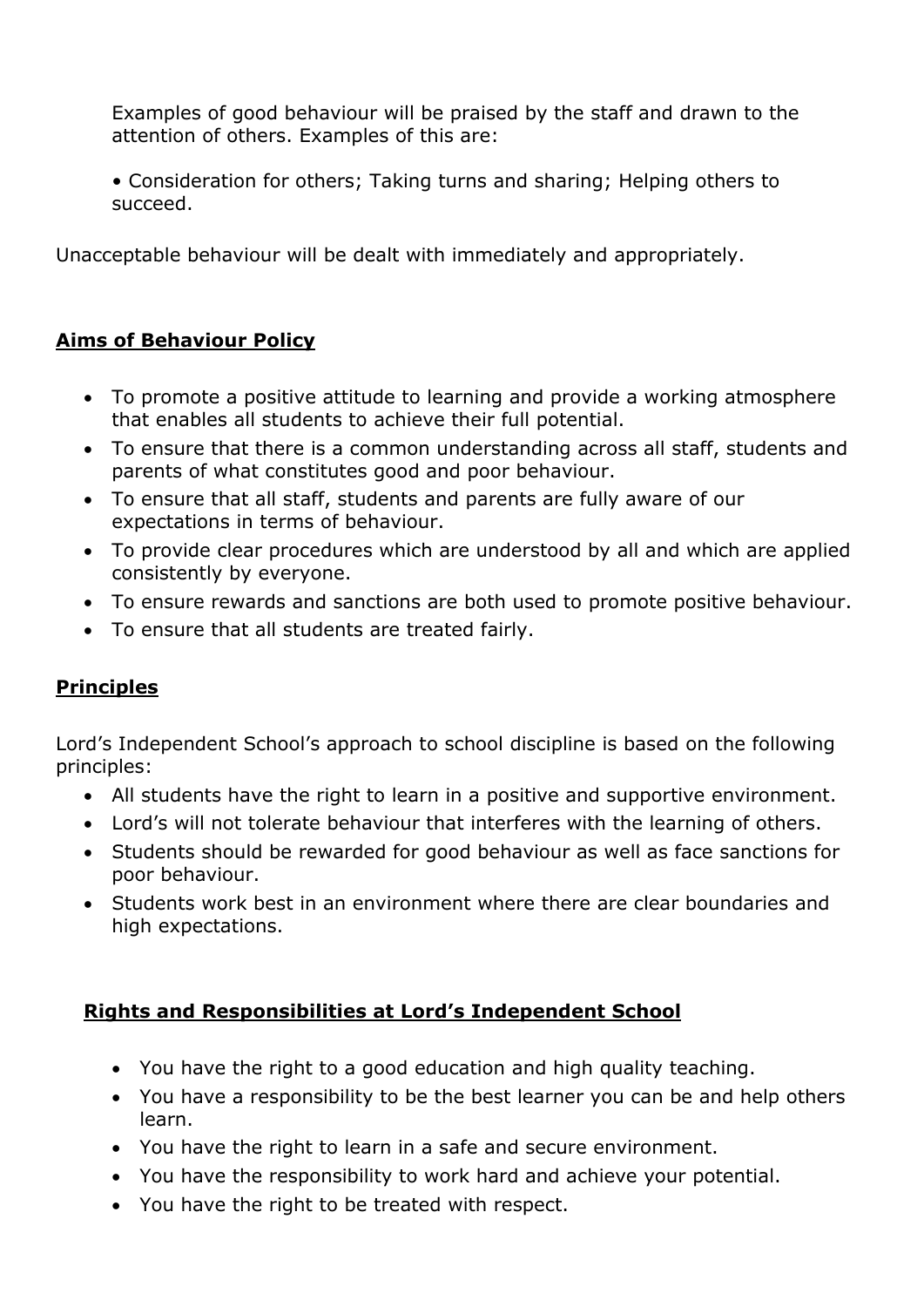Examples of good behaviour will be praised by the staff and drawn to the attention of others. Examples of this are:

• Consideration for others; Taking turns and sharing; Helping others to succeed.

Unacceptable behaviour will be dealt with immediately and appropriately.

## **Aims of Behaviour Policy**

- To promote a positive attitude to learning and provide a working atmosphere that enables all students to achieve their full potential.
- To ensure that there is a common understanding across all staff, students and parents of what constitutes good and poor behaviour.
- To ensure that all staff, students and parents are fully aware of our expectations in terms of behaviour.
- To provide clear procedures which are understood by all and which are applied consistently by everyone.
- To ensure rewards and sanctions are both used to promote positive behaviour.
- To ensure that all students are treated fairly.

## **Principles**

Lord's Independent School's approach to school discipline is based on the following principles:

- All students have the right to learn in a positive and supportive environment.
- Lord's will not tolerate behaviour that interferes with the learning of others.
- Students should be rewarded for good behaviour as well as face sanctions for poor behaviour.
- Students work best in an environment where there are clear boundaries and high expectations.

## **Rights and Responsibilities at Lord's Independent School**

- You have the right to a good education and high quality teaching.
- You have a responsibility to be the best learner you can be and help others learn.
- You have the right to learn in a safe and secure environment.
- You have the responsibility to work hard and achieve your potential.
- You have the right to be treated with respect.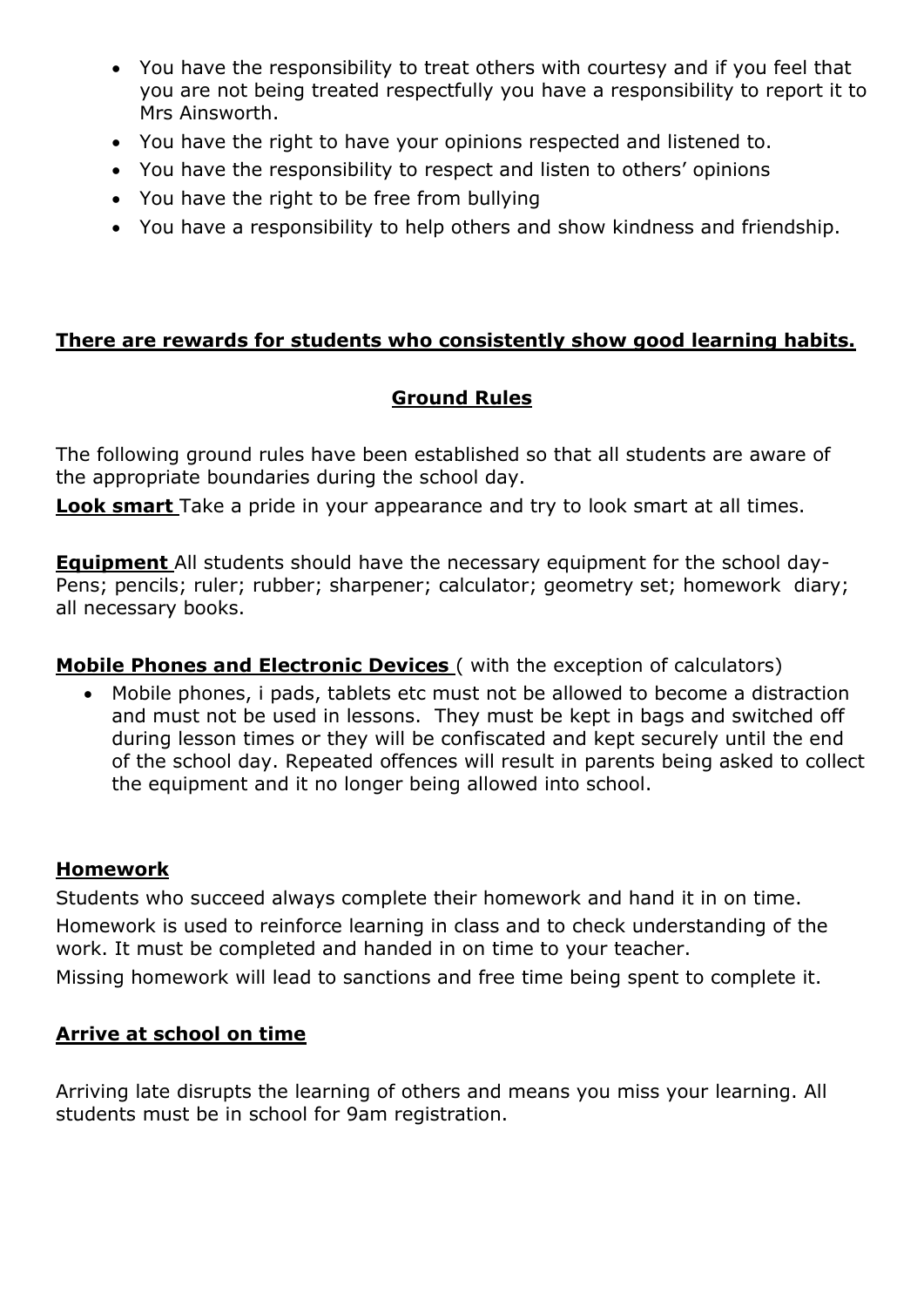- You have the responsibility to treat others with courtesy and if you feel that you are not being treated respectfully you have a responsibility to report it to Mrs Ainsworth.
- You have the right to have your opinions respected and listened to.
- You have the responsibility to respect and listen to others' opinions
- You have the right to be free from bullying
- You have a responsibility to help others and show kindness and friendship.

#### **There are rewards for students who consistently show good learning habits.**

## **Ground Rules**

The following ground rules have been established so that all students are aware of the appropriate boundaries during the school day.

**Look smart** Take a pride in your appearance and try to look smart at all times.

**Equipment** All students should have the necessary equipment for the school day-Pens; pencils; ruler; rubber; sharpener; calculator; geometry set; homework diary; all necessary books.

### **Mobile Phones and Electronic Devices** ( with the exception of calculators)

• Mobile phones, i pads, tablets etc must not be allowed to become a distraction and must not be used in lessons. They must be kept in bags and switched off during lesson times or they will be confiscated and kept securely until the end of the school day. Repeated offences will result in parents being asked to collect the equipment and it no longer being allowed into school.

### **Homework**

Students who succeed always complete their homework and hand it in on time.

Homework is used to reinforce learning in class and to check understanding of the work. It must be completed and handed in on time to your teacher.

Missing homework will lead to sanctions and free time being spent to complete it.

### **Arrive at school on time**

Arriving late disrupts the learning of others and means you miss your learning. All students must be in school for 9am registration.